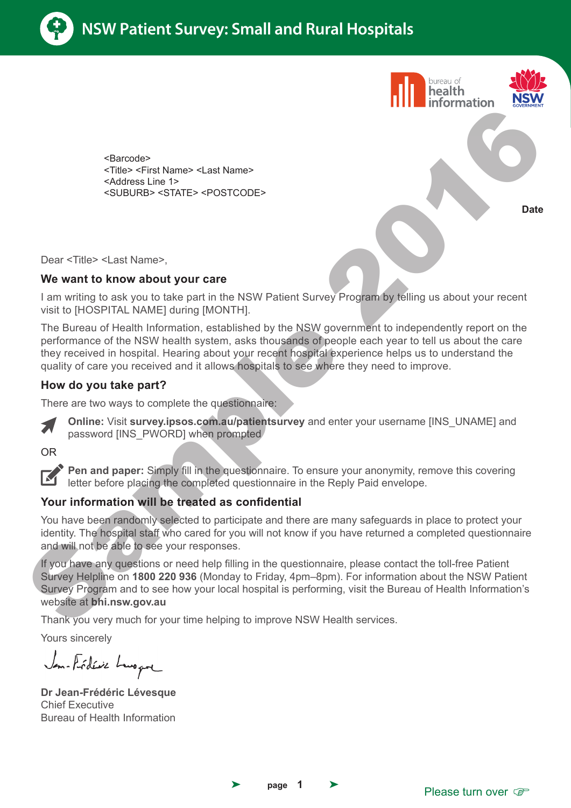





<Barcode> <Title> <First Name> <Last Name> <Address Line 1> <SUBURB> <STATE> <POSTCODE>

**Date**

Dear <Title> <Last Name>,

#### **We want to know about your care**

I am writing to ask you to take part in the NSW Patient Survey Program by telling us about your recent visit to [HOSPITAL NAME] during [MONTH].

The Bureau of Health Information, established by the NSW government to independently report on the performance of the NSW health system, asks thousands of people each year to tell us about the care they received in hospital. Hearing about your recent hospital experience helps us to understand the quality of care you received and it allows hospitals to see where they need to improve.

### **How do you take part?**

There are two ways to complete the questionnaire:



**Online:** Visit **survey.ipsos.com.au/patientsurvey** and enter your username [INS\_UNAME] and password [INS\_PWORD] when prompted

OR



**Pen and paper:** Simply fill in the questionnaire. To ensure your anonymity, remove this covering letter before placing the completed questionnaire in the Reply Paid envelope.

### **Your information will be treated as confidential**

You have been randomly selected to participate and there are many safeguards in place to protect your identity. The hospital staff who cared for you will not know if you have returned a completed questionnaire and will not be able to see your responses.

If you have any questions or need help filling in the questionnaire, please contact the toll-free Patient Survey Helpline on **1800 220 936** (Monday to Friday, 4pm–8pm). For information about the NSW Patient Survey Program and to see how your local hospital is performing, visit the Bureau of Health Information's website at **bhi.nsw.gov.au** Change of the second way about the second to the second the second of the second of the second of the second second the second of the second way to consider the second with positive and the second with the second with the

Thank you very much for your time helping to improve NSW Health services.

Yours sincerely

Jan-Frédéric Lengen

**Dr Jean-Frédéric Lévesque** Chief Executive Bureau of Health Information



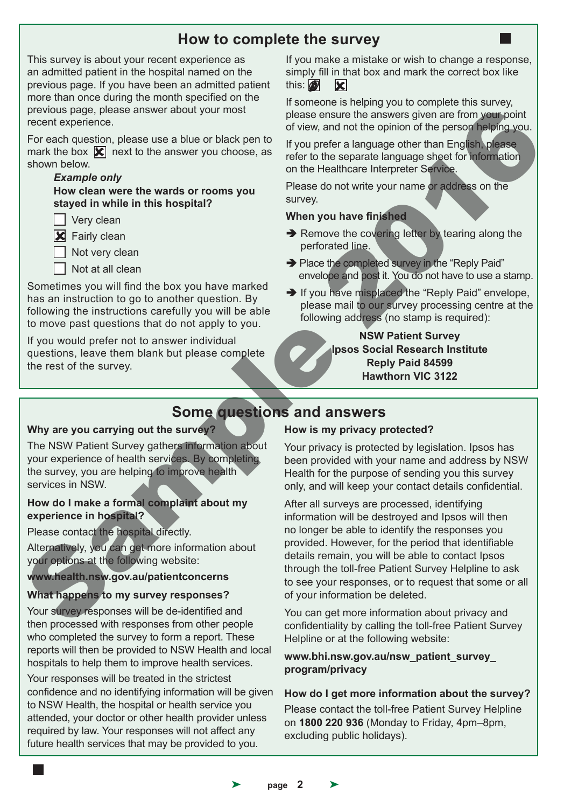# **How to complete the survey**

This survey is about your recent experience as an admitted patient in the hospital named on the previous page. If you have been an admitted patient more than once during the month specified on the previous page, please answer about your most recent experience.

For each question, please use a blue or black pen to mark the box  $\mathbf{\nabla}$  next to the answer you choose, as shown below.

#### *Example only*

 **How clean were the wards or rooms you stayed in while in this hospital?**

**Very clean** 

**X** Fairly clean

 $\Box$  Not very clean

 $\Box$  Not at all clean

Sometimes you will find the box you have marked has an instruction to go to another question. By following the instructions carefully you will be able to move past questions that do not apply to you.

If you would prefer not to answer individual questions, leave them blank but please complete the rest of the survey.

If you make a mistake or wish to change a response, simply fill in that box and mark the correct box like this:  $\blacksquare$  $|\mathbf{x}|$ 

If someone is helping you to complete this survey, please ensure the answers given are from your point of view, and not the opinion of the person helping you.

If you prefer a language other than English, please refer to the separate language sheet for information on the Healthcare Interpreter Service.

Please do not write your name or address on the survey.

#### **When you have finished**

- $\rightarrow$  Remove the covering letter by tearing along the perforated line.
- → Place the completed survey in the "Reply Paid" envelope and post it. You do not have to use a stamp.
- $\rightarrow$  If you have misplaced the "Reply Paid" envelope, please mail to our survey processing centre at the following address (no stamp is required):

**NSW Patient Survey Ipsos Social Research Institute Reply Paid 84599 Hawthorn VIC 3122**

# **Some questions and answers**

#### **Why are you carrying out the survey?**

The NSW Patient Survey gathers information about your experience of health services. By completing the survey, you are helping to improve health services in NSW.

#### **How do I make a formal complaint about my experience in hospital?**

Please contact the hospital directly.

Alternatively, you can get more information about your options at the following website:

**www.health.nsw.gov.au/patientconcerns** 

#### **What happens to my survey responses?**

Your survey responses will be de-identified and then processed with responses from other people who completed the survey to form a report. These reports will then be provided to NSW Health and local hospitals to help them to improve health services.

Your responses will be treated in the strictest confidence and no identifying information will be given to NSW Health, the hospital or health service you attended, your doctor or other health provider unless required by law. Your responses will not affect any future health services that may be provided to you.

#### **How is my privacy protected?**

Your privacy is protected by legislation. Ipsos has been provided with your name and address by NSW Health for the purpose of sending you this survey only, and will keep your contact details confidential.

After all surveys are processed, identifying information will be destroyed and Ipsos will then no longer be able to identify the responses you provided. However, for the period that identifiable details remain, you will be able to contact Ipsos through the toll-free Patient Survey Helpline to ask to see your responses, or to request that some or all of your information be deleted. previous gape, please answer about your most<br>
recent experience.<br>
From each beach on the state that the point of the person are from the person are the control of the answer you choose. The result of the state of the file

You can get more information about privacy and confidentiality by calling the toll-free Patient Survey Helpline or at the following website:

**www.bhi.nsw.gov.au/nsw\_patient\_survey\_ program/privacy**

#### **How do I get more information about the survey?**

Please contact the toll-free Patient Survey Helpline on **1800 220 936** (Monday to Friday, 4pm–8pm, excluding public holidays).

page 2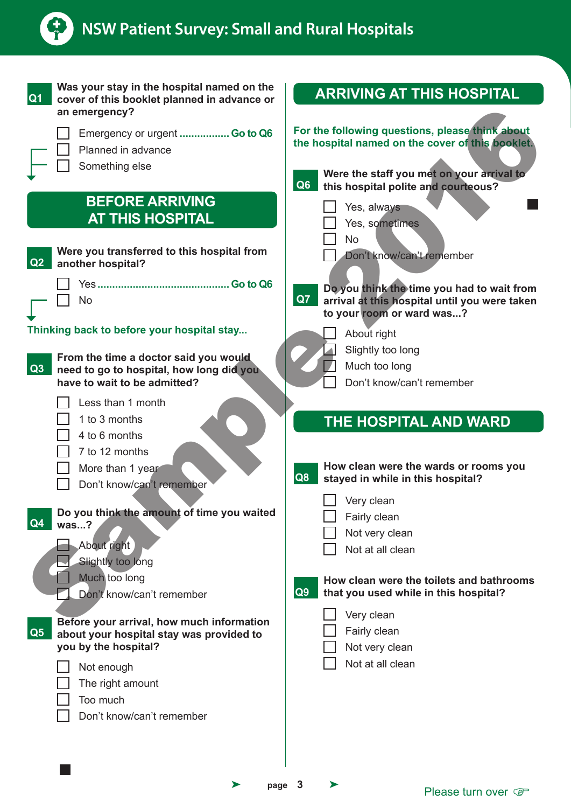

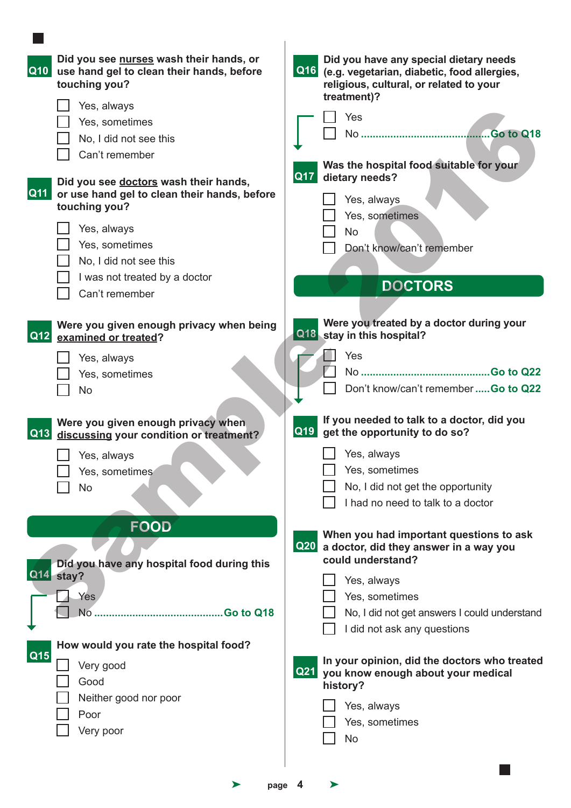|            | Did you see nurses wash their hands, or<br>Q10 use hand gel to clean their hands, before<br>touching you? |            | Did you have any special dietary needs<br>Q16 (e.g. vegetarian, diabetic, food allergies,<br>religious, cultural, or related to your<br>treatment)? |
|------------|-----------------------------------------------------------------------------------------------------------|------------|-----------------------------------------------------------------------------------------------------------------------------------------------------|
|            | Yes, always                                                                                               |            |                                                                                                                                                     |
|            | Yes, sometimes                                                                                            |            | Yes                                                                                                                                                 |
|            | No, I did not see this                                                                                    |            |                                                                                                                                                     |
|            | Can't remember                                                                                            |            |                                                                                                                                                     |
|            |                                                                                                           | <b>Q17</b> | Was the hospital food suitable for your<br>dietary needs?                                                                                           |
| Q11        | Did you see doctors wash their hands,                                                                     |            |                                                                                                                                                     |
|            | or use hand gel to clean their hands, before<br>touching you?                                             |            | Yes, always                                                                                                                                         |
|            |                                                                                                           |            | Yes, sometimes                                                                                                                                      |
|            | Yes, always                                                                                               |            | <b>No</b>                                                                                                                                           |
|            | Yes, sometimes                                                                                            |            | Don't know/can't remember                                                                                                                           |
|            | No, I did not see this                                                                                    |            |                                                                                                                                                     |
|            | I was not treated by a doctor                                                                             |            | <b>DOCTORS</b>                                                                                                                                      |
|            | Can't remember                                                                                            |            |                                                                                                                                                     |
|            |                                                                                                           |            |                                                                                                                                                     |
|            | Were you given enough privacy when being                                                                  |            | Were you treated by a doctor during your                                                                                                            |
| Q12        | examined or treated?                                                                                      |            | Q18 stay in this hospital?                                                                                                                          |
|            | Yes, always                                                                                               |            | Yes                                                                                                                                                 |
|            | Yes, sometimes                                                                                            |            |                                                                                                                                                     |
|            | <b>No</b>                                                                                                 |            | Don't know/can't remember  Go to Q22                                                                                                                |
|            |                                                                                                           |            |                                                                                                                                                     |
| <b>Q13</b> | Were you given enough privacy when<br>discussing your condition or treatment?                             |            | If you needed to talk to a doctor, did you<br>Q19 get the opportunity to do so?                                                                     |
|            | Yes, always                                                                                               |            | Yes, always                                                                                                                                         |
|            | Yes, sometimes                                                                                            |            | Yes, sometimes                                                                                                                                      |
|            | No                                                                                                        |            | No, I did not get the opportunity                                                                                                                   |
|            |                                                                                                           |            | I had no need to talk to a doctor                                                                                                                   |
|            |                                                                                                           |            |                                                                                                                                                     |
|            | <b>FOOD</b>                                                                                               |            | When you had important questions to ask                                                                                                             |
|            |                                                                                                           | Q20        | a doctor, did they answer in a way you                                                                                                              |
|            | Did you have any hospital food during this                                                                |            | could understand?                                                                                                                                   |
|            | Q14 stay?                                                                                                 |            | Yes, always                                                                                                                                         |
|            | Yes                                                                                                       |            | Yes, sometimes                                                                                                                                      |
|            | No.                                                                                                       |            | No, I did not get answers I could understand                                                                                                        |
|            |                                                                                                           |            | I did not ask any questions                                                                                                                         |
|            | How would you rate the hospital food?                                                                     |            |                                                                                                                                                     |
| Q15        | Very good                                                                                                 |            | In your opinion, did the doctors who treated                                                                                                        |
|            | Good                                                                                                      |            | Q21 you know enough about your medical                                                                                                              |
|            | Neither good nor poor                                                                                     |            | history?                                                                                                                                            |
|            | Poor                                                                                                      |            | Yes, always                                                                                                                                         |
|            | Very poor                                                                                                 |            | Yes, sometimes                                                                                                                                      |
|            |                                                                                                           |            | <b>No</b>                                                                                                                                           |
|            |                                                                                                           |            |                                                                                                                                                     |
|            |                                                                                                           |            |                                                                                                                                                     |
|            | ➤<br>page                                                                                                 | 4          | ⋗                                                                                                                                                   |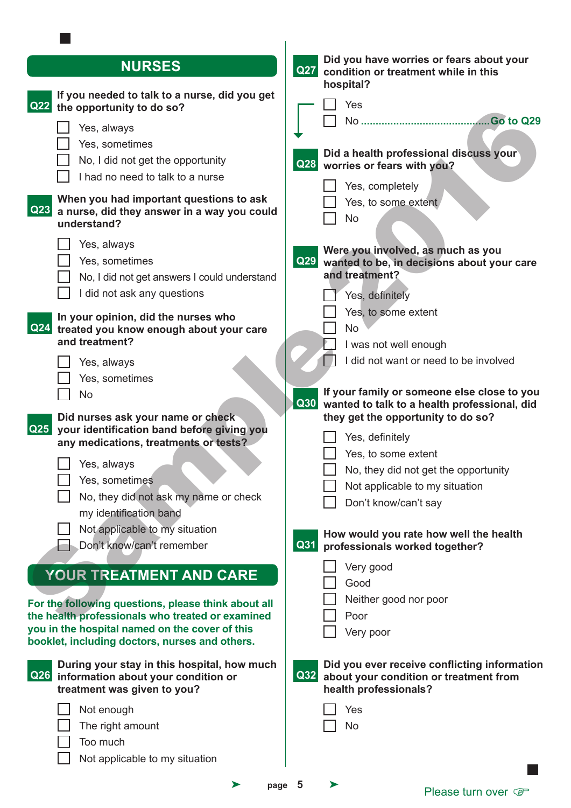| <b>NURSES</b>                                                                                                                                        | Did you have worries or fears about your<br><b>Q27</b><br>condition or treatment while in this<br>hospital?                 |
|------------------------------------------------------------------------------------------------------------------------------------------------------|-----------------------------------------------------------------------------------------------------------------------------|
| If you needed to talk to a nurse, did you get<br>Q <sub>22</sub><br>the opportunity to do so?                                                        | Yes                                                                                                                         |
| Yes, always<br>Yes, sometimes<br>No, I did not get the opportunity<br>I had no need to talk to a nurse                                               | Did a health professional discuss your<br><b>Q28</b><br>worries or fears with you?                                          |
| When you had important questions to ask<br>Q23<br>a nurse, did they answer in a way you could<br>understand?                                         | Yes, completely<br>Yes, to some extent<br><b>No</b>                                                                         |
| Yes, always<br>Yes, sometimes<br>No, I did not get answers I could understand<br>I did not ask any questions                                         | Were you involved, as much as you<br>Q29<br>wanted to be, in decisions about your care<br>and treatment?<br>Yes, definitely |
| In your opinion, did the nurses who<br>Q <sub>24</sub><br>treated you know enough about your care<br>and treatment?                                  | Yes, to some extent<br><b>No</b><br>I was not well enough<br>I did not want or need to be involved                          |
| Yes, always<br>Yes, sometimes<br><b>No</b>                                                                                                           | If your family or someone else close to you<br>Q30<br>wanted to talk to a health professional, did                          |
| Did nurses ask your name or check<br>$\overline{Q25}$<br>your identification band before giving you<br>any medications, treatments or tests?         | they get the opportunity to do so?<br>Yes, definitely<br>Yes, to some extent                                                |
| $\Box$ Yes, always<br>Yes, sometimes<br>No, they did not ask my name or check                                                                        | No, they did not get the opportunity<br>Not applicable to my situation<br>Don't know/can't say                              |
| my identification band<br>Not applicable to my situation<br>Don't know/can't remember                                                                | How would you rate how well the health<br>Q31<br>professionals worked together?                                             |
| <b>YOUR TREATMENT AND CARE</b><br>For the following questions, please think about all                                                                | Very good<br>Good<br>Neither good nor poor                                                                                  |
| the health professionals who treated or examined<br>you in the hospital named on the cover of this<br>booklet, including doctors, nurses and others. | Poor<br>Very poor                                                                                                           |
| During your stay in this hospital, how much<br>Q26<br>information about your condition or<br>treatment was given to you?                             | Did you ever receive conflicting information<br>Q32<br>about your condition or treatment from<br>health professionals?      |
| Not enough<br>The right amount<br>Too much<br>Not applicable to my situation                                                                         | Yes<br>No                                                                                                                   |

| page 5 |  |
|--------|--|
|        |  |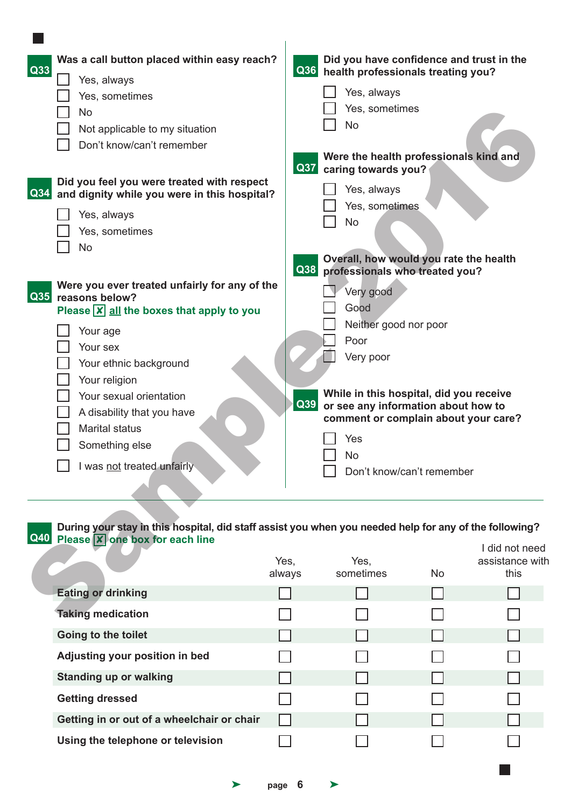| Was a call button placed within easy reach?<br>Q33<br>Yes, always<br>Yes, sometimes<br><b>No</b><br>Not applicable to my situation<br>Don't know/can't remember<br>Did you feel you were treated with respect<br>$\vert$ Q34<br>and dignity while you were in this hospital?                                                                       | Q36<br><b>Q37</b> | Did you have confidence and trust in the<br>health professionals treating you?<br>Yes, always<br>Yes, sometimes<br><b>No</b><br>Were the health professionals kind and<br>caring towards you?<br>Yes, always<br>Yes, sometimes                                               |    |                                          |
|----------------------------------------------------------------------------------------------------------------------------------------------------------------------------------------------------------------------------------------------------------------------------------------------------------------------------------------------------|-------------------|------------------------------------------------------------------------------------------------------------------------------------------------------------------------------------------------------------------------------------------------------------------------------|----|------------------------------------------|
| Yes, always<br>Yes, sometimes<br>No                                                                                                                                                                                                                                                                                                                |                   | <b>No</b><br>Overall, how would you rate the health                                                                                                                                                                                                                          |    |                                          |
| Were you ever treated unfairly for any of the<br>$\vert$ Q35<br>reasons below?<br>Please $\boxed{\mathsf{x}}$ all the boxes that apply to you<br>Your age<br>Your sex<br>Your ethnic background<br>Your religion<br>Your sexual orientation<br>A disability that you have<br><b>Marital status</b><br>Something else<br>I was not treated unfairly | Q38<br>Q39        | professionals who treated you?<br>Very good<br>Good<br>Neither good nor poor<br>Poor<br>Very poor<br>While in this hospital, did you receive<br>or see any information about how to<br>comment or complain about your care?<br>Yes<br><b>No</b><br>Don't know/can't remember |    |                                          |
| During your stay in this hospital, did staff assist you when you needed help for any of the following?<br>Q40 Please <b>X</b> one box for each line                                                                                                                                                                                                | Yes,<br>always    | Yes,<br>sometimes                                                                                                                                                                                                                                                            | No | I did not need<br>assistance wit<br>this |
| <b>Eating or drinking</b><br><b>Taking medication</b>                                                                                                                                                                                                                                                                                              |                   |                                                                                                                                                                                                                                                                              |    |                                          |

#### **Q40 During your stay in this hospital, did staff assist you when you needed help for any of the following? Please X** one box for each line I did not need

|                                            | Yes,<br>always | Yes,<br>sometimes | <b>No</b> | <u>I UIU IIUL IIUU I</u><br>assistance with<br>this |
|--------------------------------------------|----------------|-------------------|-----------|-----------------------------------------------------|
| <b>Eating or drinking</b>                  |                |                   |           |                                                     |
| <b>Taking medication</b>                   |                |                   |           |                                                     |
| Going to the toilet                        |                |                   |           |                                                     |
| Adjusting your position in bed             |                |                   |           |                                                     |
| <b>Standing up or walking</b>              |                |                   |           |                                                     |
| <b>Getting dressed</b>                     |                |                   |           |                                                     |
| Getting in or out of a wheelchair or chair |                |                   |           |                                                     |
| Using the telephone or television          |                |                   |           |                                                     |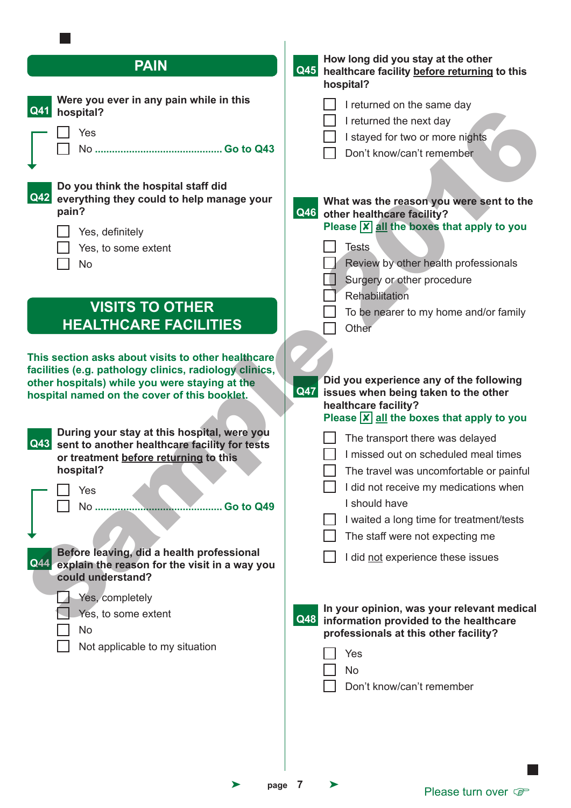| <b>PAIN</b>                                                                                                                                                                                                                                                                                                                                                                                     | How long did you stay at the other<br>Q45<br>healthcare facility before returning to this<br>hospital?                                                                                                                                                                                                                                                                                                                                                                                    |
|-------------------------------------------------------------------------------------------------------------------------------------------------------------------------------------------------------------------------------------------------------------------------------------------------------------------------------------------------------------------------------------------------|-------------------------------------------------------------------------------------------------------------------------------------------------------------------------------------------------------------------------------------------------------------------------------------------------------------------------------------------------------------------------------------------------------------------------------------------------------------------------------------------|
| Were you ever in any pain while in this<br>Q41<br>hospital?<br>Yes                                                                                                                                                                                                                                                                                                                              | I returned on the same day<br>I returned the next day<br>I stayed for two or more nights<br>Don't know/can't remember                                                                                                                                                                                                                                                                                                                                                                     |
| Do you think the hospital staff did<br>Q42<br>everything they could to help manage your<br>pain?<br>Yes, definitely<br>Yes, to some extent<br><b>No</b>                                                                                                                                                                                                                                         | What was the reason you were sent to the<br><b>Q46</b><br>other healthcare facility?<br>Please $\overline{X}$ all the boxes that apply to you<br><b>Tests</b><br>Review by other health professionals<br>Surgery or other procedure                                                                                                                                                                                                                                                       |
| <b>VISITS TO OTHER</b><br><b>HEALTHCARE FACILITIES</b>                                                                                                                                                                                                                                                                                                                                          | Rehabilitation<br>To be nearer to my home and/or family<br>Other                                                                                                                                                                                                                                                                                                                                                                                                                          |
| This section asks about visits to other healthcare<br>facilities (e.g. pathology clinics, radiology clinics,<br>other hospitals) while you were staying at the<br>hospital named on the cover of this booklet.                                                                                                                                                                                  | Did you experience any of the following<br>Q47<br>issues when being taken to the other<br>healthcare facility?<br>Please $\overline{X}$ all the boxes that apply to you                                                                                                                                                                                                                                                                                                                   |
| During your stay at this hospital, were you<br>Q43<br>sent to another healthcare facility for tests<br>or treatment before returning to this<br>hospital?<br>Yes<br>No<br>Go to Q49<br>Before leaving, did a health professional<br>Q44<br>explain the reason for the visit in a way you<br>could understand?<br>Yes, completely<br>Yes, to some extent<br>No<br>Not applicable to my situation | The transport there was delayed<br>I missed out on scheduled meal times<br>The travel was uncomfortable or painful<br>I did not receive my medications when<br>I should have<br>I waited a long time for treatment/tests<br>The staff were not expecting me<br>I did not experience these issues<br>In your opinion, was your relevant medical<br>Q48<br>information provided to the healthcare<br>professionals at this other facility?<br>Yes<br><b>No</b><br>Don't know/can't remember |
|                                                                                                                                                                                                                                                                                                                                                                                                 |                                                                                                                                                                                                                                                                                                                                                                                                                                                                                           |

 $\sim$ 

➤ **page 7** ➤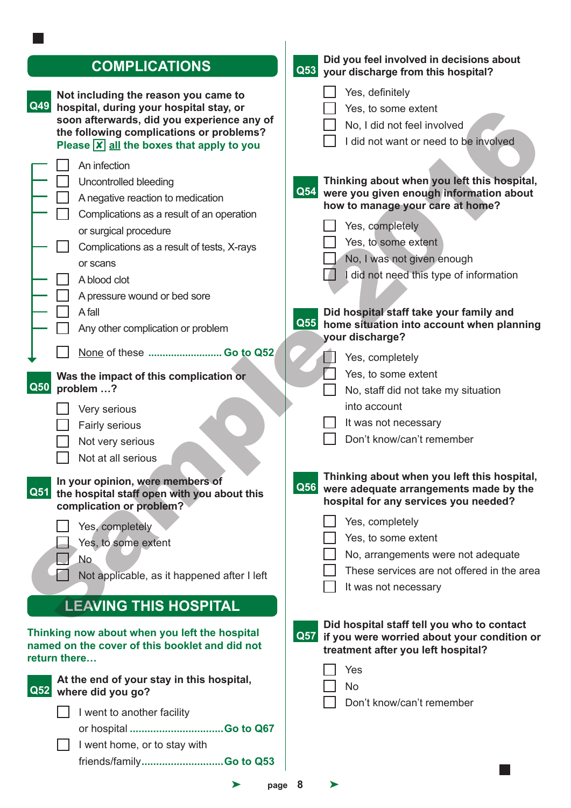| <b>COMPLICATIONS</b>                                                                            | Did you feel involved in decisions about<br>Q53 your discharge from this hospital?                                                  |
|-------------------------------------------------------------------------------------------------|-------------------------------------------------------------------------------------------------------------------------------------|
| Not including the reason you came to                                                            | Yes, definitely                                                                                                                     |
| Q49<br>hospital, during your hospital stay, or                                                  | Yes, to some extent                                                                                                                 |
| soon afterwards, did you experience any of<br>the following complications or problems?          | No, I did not feel involved                                                                                                         |
| Please $\boxed{\mathsf{x}}$ all the boxes that apply to you                                     | I did not want or need to be involved                                                                                               |
| An infection                                                                                    |                                                                                                                                     |
| Uncontrolled bleeding                                                                           | Thinking about when you left this hospital,                                                                                         |
| A negative reaction to medication                                                               | Q54<br>were you given enough information about                                                                                      |
| Complications as a result of an operation                                                       | how to manage your care at home?                                                                                                    |
| or surgical procedure                                                                           | Yes, completely                                                                                                                     |
| Complications as a result of tests, X-rays                                                      | Yes, to some extent                                                                                                                 |
| or scans                                                                                        | No, I was not given enough                                                                                                          |
| A blood clot                                                                                    | did not need this type of information                                                                                               |
| A pressure wound or bed sore                                                                    |                                                                                                                                     |
| A fall                                                                                          | Did hospital staff take your family and                                                                                             |
| Any other complication or problem                                                               | Q55 home situation into account when planning<br>your discharge?                                                                    |
| None of these  Go to Q52                                                                        | Yes, completely                                                                                                                     |
| Was the impact of this complication or                                                          | Yes, to some extent                                                                                                                 |
| Q50<br>problem ?                                                                                | No, staff did not take my situation                                                                                                 |
| Very serious                                                                                    | into account                                                                                                                        |
| Fairly serious                                                                                  | It was not necessary                                                                                                                |
| Not very serious                                                                                | Don't know/can't remember                                                                                                           |
| Not at all serious                                                                              |                                                                                                                                     |
|                                                                                                 | Thinking about when you left this hospital,                                                                                         |
| In your opinion, were members of<br>Q51 the hospital staff open with you about this             | Q56 were adequate arrangements made by the                                                                                          |
| complication or problem?                                                                        | hospital for any services you needed?                                                                                               |
| Yes, completely                                                                                 | Yes, completely                                                                                                                     |
| Yes, to some extent                                                                             | Yes, to some extent                                                                                                                 |
| No                                                                                              | No, arrangements were not adequate                                                                                                  |
| Not applicable, as it happened after I left                                                     | These services are not offered in the area                                                                                          |
|                                                                                                 | It was not necessary                                                                                                                |
| <b>LEAVING THIS HOSPITAL</b>                                                                    |                                                                                                                                     |
| Thinking now about when you left the hospital<br>named on the cover of this booklet and did not | Did hospital staff tell you who to contact<br>Q57 if you were worried about your condition or<br>treatment after you left hospital? |
| return there                                                                                    | Yes                                                                                                                                 |
| At the end of your stay in this hospital,                                                       | <b>No</b>                                                                                                                           |
| Q52 where did you go?                                                                           | Don't know/can't remember                                                                                                           |
| I went to another facility                                                                      |                                                                                                                                     |
| or hospital Go to Q67                                                                           |                                                                                                                                     |
| I went home, or to stay with                                                                    |                                                                                                                                     |
| friends/familyGo to Q53                                                                         |                                                                                                                                     |
| ➤<br>page                                                                                       | 8<br>⋗                                                                                                                              |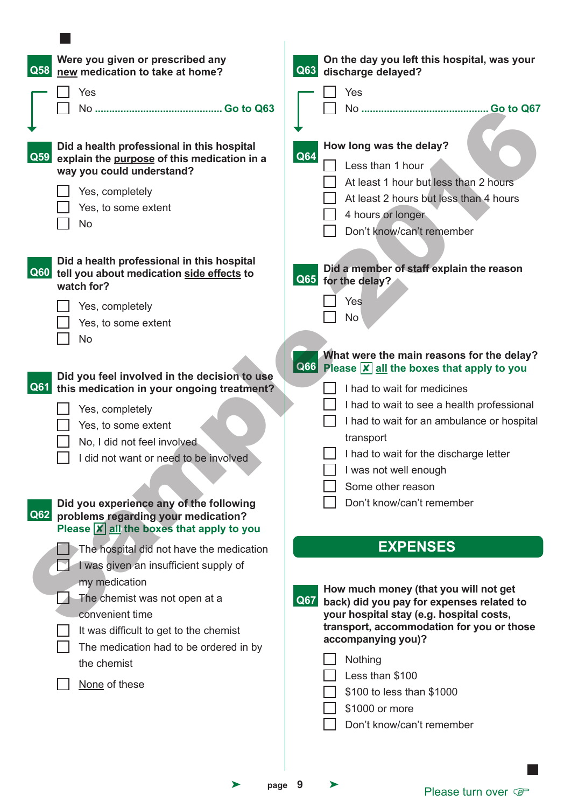| $\overline{\text{Q}58}$ | Were you given or prescribed any<br>new medication to take at home?                                                                                                                   | On the day you left this hospital, was your<br>$\vert$ Q63 $\vert$<br>discharge delayed?                                                                                                                                                                                                                                        |
|-------------------------|---------------------------------------------------------------------------------------------------------------------------------------------------------------------------------------|---------------------------------------------------------------------------------------------------------------------------------------------------------------------------------------------------------------------------------------------------------------------------------------------------------------------------------|
|                         | Yes<br><b>No</b><br>Go to Q63                                                                                                                                                         | Yes                                                                                                                                                                                                                                                                                                                             |
| $\vert$ Q59 $\vert$     | Did a health professional in this hospital<br>explain the purpose of this medication in a<br>way you could understand?<br>Yes, completely<br>Yes, to some extent<br><b>No</b>         | How long was the delay?<br>Q64<br>Less than 1 hour<br>At least 1 hour but less than 2 hours<br>At least 2 hours but less than 4 hours<br>4 hours or longer<br>Don't know/can't remember                                                                                                                                         |
|                         | Did a health professional in this hospital<br>Q60 tell you about medication side effects to<br>watch for?                                                                             | Did a member of staff explain the reason<br>Q65 for the delay?                                                                                                                                                                                                                                                                  |
|                         | Yes, completely<br>Yes, to some extent<br><b>No</b>                                                                                                                                   | <b>Yes</b><br>No.                                                                                                                                                                                                                                                                                                               |
| $\overline{Q61}$        | Did you feel involved in the decision to use<br>this medication in your ongoing treatment?                                                                                            | What were the main reasons for the delay?<br><b>Q66</b> Please <b>X</b> all the boxes that apply to you<br>I had to wait for medicines                                                                                                                                                                                          |
|                         | Yes, completely<br>Yes, to some extent<br>No, I did not feel involved.                                                                                                                | I had to wait to see a health professional<br>I had to wait for an ambulance or hospital<br>transport                                                                                                                                                                                                                           |
|                         | I did not want or need to be involved                                                                                                                                                 | I had to wait for the discharge letter<br>$\Box$<br>was not well enough<br>Some other reason                                                                                                                                                                                                                                    |
| <b>Q62</b>              | Did you experience any of the following<br>problems regarding your medication?<br>Please $\boxed{\mathsf{x}}$ all the boxes that apply to you                                         | Don't know/can't remember                                                                                                                                                                                                                                                                                                       |
|                         | The hospital did not have the medication<br>I was given an insufficient supply of                                                                                                     | <b>EXPENSES</b>                                                                                                                                                                                                                                                                                                                 |
|                         | my medication<br>The chemist was not open at a<br>convenient time<br>It was difficult to get to the chemist<br>The medication had to be ordered in by<br>the chemist<br>None of these | How much money (that you will not get<br>$\overline{Q67}$<br>back) did you pay for expenses related to<br>your hospital stay (e.g. hospital costs,<br>transport, accommodation for you or those<br>accompanying you)?<br>Nothing<br>Less than \$100<br>\$100 to less than \$1000<br>\$1000 or more<br>Don't know/can't remember |
|                         |                                                                                                                                                                                       |                                                                                                                                                                                                                                                                                                                                 |
|                         |                                                                                                                                                                                       |                                                                                                                                                                                                                                                                                                                                 |

**Contract** 

➤ **page 9** ➤

Please turn over  $\mathcal{F}$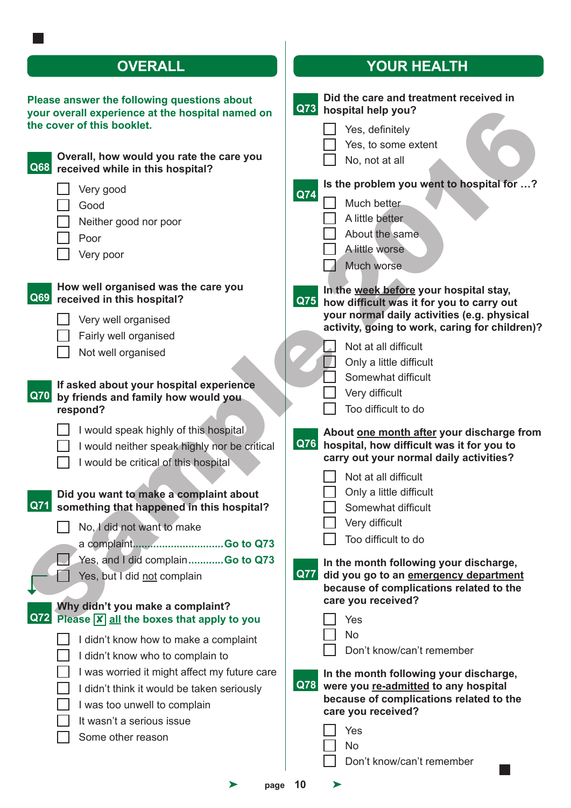| Please answer the following questions about      |  |
|--------------------------------------------------|--|
| your overall experience at the hospital named on |  |
| the cover of this booklet.                       |  |

| your overall experience at the hospital named on<br>the cover of this booklet.<br>Overall, how would you rate the care you<br>Q68<br>received while in this hospital?     | Q73 hospital help you?<br>Yes, definitely<br>Yes, to some extent<br>No, not at all                                                                                                       |
|---------------------------------------------------------------------------------------------------------------------------------------------------------------------------|------------------------------------------------------------------------------------------------------------------------------------------------------------------------------------------|
| Very good<br>Good<br>Neither good nor poor<br>Poor<br>Very poor                                                                                                           | Is the problem you went to hospital for ?<br>Q74<br>Much better<br>A little better<br>About the same<br>A little worse<br>Much worse                                                     |
| How well organised was the care you<br>Q69<br>received in this hospital?<br>Very well organised<br>Fairly well organised                                                  | In the week before your hospital stay,<br>Q75 how difficult was it for you to carry out<br>your normal daily activities (e.g. physical<br>activity, going to work, caring for children)? |
| Not well organised<br>If asked about your hospital experience<br><b>Q70</b><br>by friends and family how would you<br>respond?                                            | Not at all difficult<br>Only a little difficult<br>Somewhat difficult<br>Very difficult<br>Too difficult to do                                                                           |
| I would speak highly of this hospital<br>I would neither speak highly nor be critical<br>I would be critical of this hospital                                             | About one month after your discharge from<br>Q76 hospital, how difficult was it for you to<br>carry out your normal daily activities?<br>Not at all difficult                            |
| Did you want to make a complaint about<br>Q71<br>something that happened in this hospital?<br>No, I did not want to make                                                  | Only a little difficult<br>Somewhat difficult<br>Very difficult<br>Too difficult to do                                                                                                   |
| Yes, and I did complainGo to Q73<br>Yes, but I did not complain<br>Why didn't you make a complaint?<br>Q72<br>Please $\boxed{\mathsf{x}}$ all the boxes that apply to you | In the month following your discharge,<br><b>Q77</b><br>did you go to an emergency department<br>because of complications related to the<br>care you received?<br>Yes                    |
| I didn't know how to make a complaint<br>I didn't know who to complain to<br>I was worried it might affect my future care<br>I didn't think it would be taken seriously   | <b>No</b><br>Don't know/can't remember<br>In the month following your discharge,<br><b>Q78</b><br>were you re-admitted to any hospital<br>because of complications related to the        |
| I was too unwell to complain<br>It wasn't a serious issue<br>Some other reason                                                                                            | care you received?<br>Yes<br><b>No</b>                                                                                                                                                   |

# **OVERALL YOUR HEALTH**

| ıbout<br>amed on                                              | Q73        | Did the care and treatment received in<br>hospital help you?                                                                                                                                                                                        |
|---------------------------------------------------------------|------------|-----------------------------------------------------------------------------------------------------------------------------------------------------------------------------------------------------------------------------------------------------|
| <b>ire you</b>                                                |            | Yes, definitely<br>Yes, to some extent<br>No, not at all                                                                                                                                                                                            |
|                                                               | Q74        | Is the problem you went to hospital for ?<br>Much better<br>A little better<br>About the same<br>A little worse<br>Much worse                                                                                                                       |
| ou/                                                           | Q75        | In the week before your hospital stay,<br>how difficult was it for you to carry out<br>your normal daily activities (e.g. physical<br>activity, going to work, caring for children)?                                                                |
| ience<br>ou                                                   |            | Not at all difficult<br>Only a little difficult<br>Somewhat difficult<br>Very difficult<br>Too difficult to do                                                                                                                                      |
| ital.<br>be critical<br>about<br>ospital?<br><b>So to Q73</b> | <b>Q76</b> | About one month after your discharge from<br>hospital, how difficult was it for you to<br>carry out your normal daily activities?<br>Not at all difficult<br>Only a little difficult<br>Somewhat difficult<br>Very difficult<br>Too difficult to do |
| <b>So to Q73</b><br>to you<br>าplaint                         | <b>Q77</b> | In the month following your discharge,<br>did you go to an emergency department<br>because of complications related to the<br>care you received?<br>Yes<br><b>No</b><br>Don't know/can't remember                                                   |
| tuture care<br>eriously                                       | Q78        | In the month following your discharge,<br>were you re-admitted to any hospital<br>because of complications related to the<br>care you received?<br>Yes<br><b>No</b><br>Don't know/can't remember                                                    |
| page                                                          | 10         |                                                                                                                                                                                                                                                     |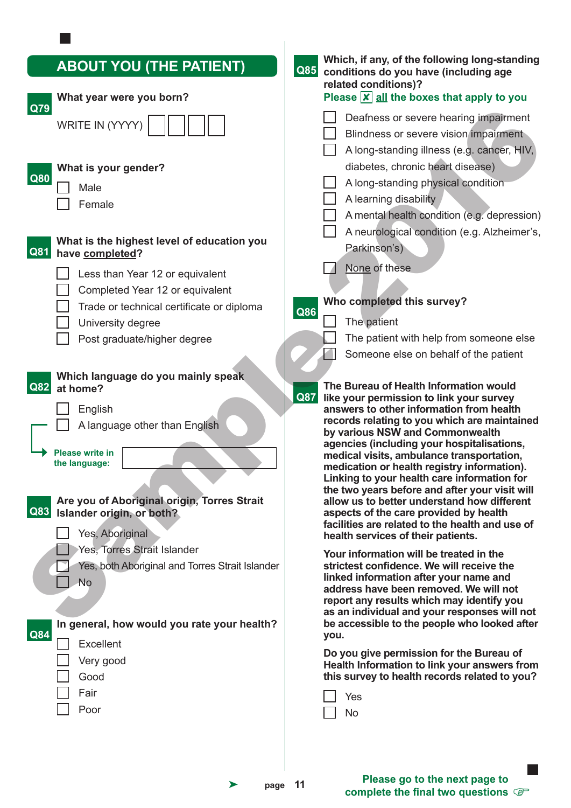| <b>ABOUT YOU (THE PATIENT)</b><br>What year were you born?                                                                                                                                                                                                                                                                                                                                                                  | Which, if any, of the following long-standing<br>Q85<br>conditions do you have (including age<br>related conditions)?<br>Please $\boxed{\mathsf{x}}$ all the boxes that apply to you                                                                                                                                                                                                                                                                                                                                                                                                                                                                                                                                                                                                                                      |
|-----------------------------------------------------------------------------------------------------------------------------------------------------------------------------------------------------------------------------------------------------------------------------------------------------------------------------------------------------------------------------------------------------------------------------|---------------------------------------------------------------------------------------------------------------------------------------------------------------------------------------------------------------------------------------------------------------------------------------------------------------------------------------------------------------------------------------------------------------------------------------------------------------------------------------------------------------------------------------------------------------------------------------------------------------------------------------------------------------------------------------------------------------------------------------------------------------------------------------------------------------------------|
| Q79<br><b>WRITE IN (YYYY</b>                                                                                                                                                                                                                                                                                                                                                                                                | Deafness or severe hearing impairment<br>Blindness or severe vision impairment<br>A long-standing illness (e.g. cancer, HIV,                                                                                                                                                                                                                                                                                                                                                                                                                                                                                                                                                                                                                                                                                              |
| What is your gender?<br>Q80<br>Male<br>Female<br>What is the highest level of education you<br>Q81<br>have completed?<br>Less than Year 12 or equivalent<br>Completed Year 12 or equivalent<br>Trade or technical certificate or diploma<br>University degree<br>Post graduate/higher degree<br>Which language do you mainly speak<br>Q82<br>at home?<br>English<br>A language other than English<br><b>Please write in</b> | diabetes, chronic heart disease)<br>A long-standing physical condition<br>A learning disability<br>A mental health condition (e.g. depression)<br>A neurological condition (e.g. Alzheimer's,<br>Parkinson's)<br>None of these<br>Who completed this survey?<br>Q86<br>The patient<br>The patient with help from someone else<br>Someone else on behalf of the patient<br>The Bureau of Health Information would<br>Q87<br>like your permission to link your survey<br>answers to other information from health<br>records relating to you which are maintained<br>by various NSW and Commonwealth<br>agencies (including your hospitalisations,<br>medical visits, ambulance transportation,                                                                                                                             |
| the language:<br>Are you of Aboriginal origin, Torres Strait<br>Q83 Islander origin, or both?<br>Yes, Aboriginal<br>Yes, Torres Strait Islander<br>Yes, both Aboriginal and Torres Strait Islander<br>No<br>In general, how would you rate your health?<br>Q84<br><b>Excellent</b><br>Very good<br>Good<br>Fair<br>Poor                                                                                                     | medication or health registry information).<br>Linking to your health care information for<br>the two years before and after your visit will<br>allow us to better understand how different<br>aspects of the care provided by health<br>facilities are related to the health and use of<br>health services of their patients.<br>Your information will be treated in the<br>strictest confidence. We will receive the<br>linked information after your name and<br>address have been removed. We will not<br>report any results which may identify you<br>as an individual and your responses will not<br>be accessible to the people who looked after<br>you.<br>Do you give permission for the Bureau of<br>Health Information to link your answers from<br>this survey to health records related to you?<br>Yes<br>No |